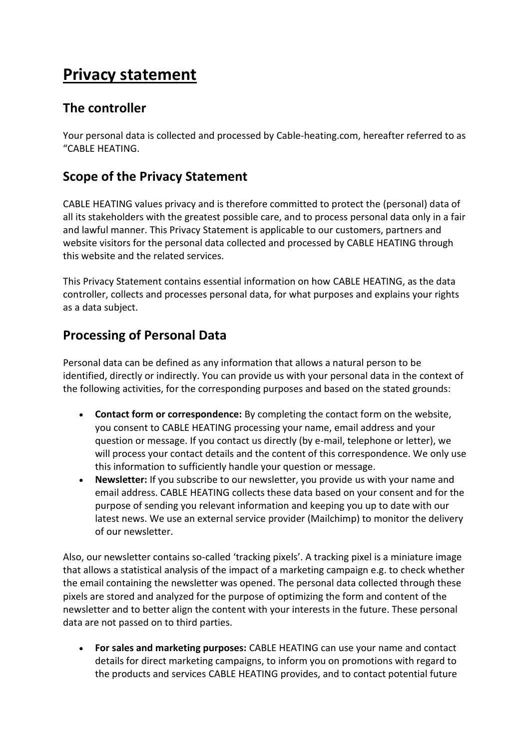# **Privacy statement**

### **The controller**

Your personal data is collected and processed by Cable-heating.com, hereafter referred to as "CABLE HEATING.

## **Scope of the Privacy Statement**

CABLE HEATING values privacy and is therefore committed to protect the (personal) data of all its stakeholders with the greatest possible care, and to process personal data only in a fair and lawful manner. This Privacy Statement is applicable to our customers, partners and website visitors for the personal data collected and processed by CABLE HEATING through this website and the related services.

This Privacy Statement contains essential information on how CABLE HEATING, as the data controller, collects and processes personal data, for what purposes and explains your rights as a data subject.

### **Processing of Personal Data**

Personal data can be defined as any information that allows a natural person to be identified, directly or indirectly. You can provide us with your personal data in the context of the following activities, for the corresponding purposes and based on the stated grounds:

- **Contact form or correspondence:** By completing the contact form on the website, you consent to CABLE HEATING processing your name, email address and your question or message. If you contact us directly (by e-mail, telephone or letter), we will process your contact details and the content of this correspondence. We only use this information to sufficiently handle your question or message.
- **Newsletter:** If you subscribe to our newsletter, you provide us with your name and email address. CABLE HEATING collects these data based on your consent and for the purpose of sending you relevant information and keeping you up to date with our latest news. We use an external service provider (Mailchimp) to monitor the delivery of our newsletter.

Also, our newsletter contains so-called 'tracking pixels'. A tracking pixel is a miniature image that allows a statistical analysis of the impact of a marketing campaign e.g. to check whether the email containing the newsletter was opened. The personal data collected through these pixels are stored and analyzed for the purpose of optimizing the form and content of the newsletter and to better align the content with your interests in the future. These personal data are not passed on to third parties.

• **For sales and marketing purposes:** CABLE HEATING can use your name and contact details for direct marketing campaigns, to inform you on promotions with regard to the products and services CABLE HEATING provides, and to contact potential future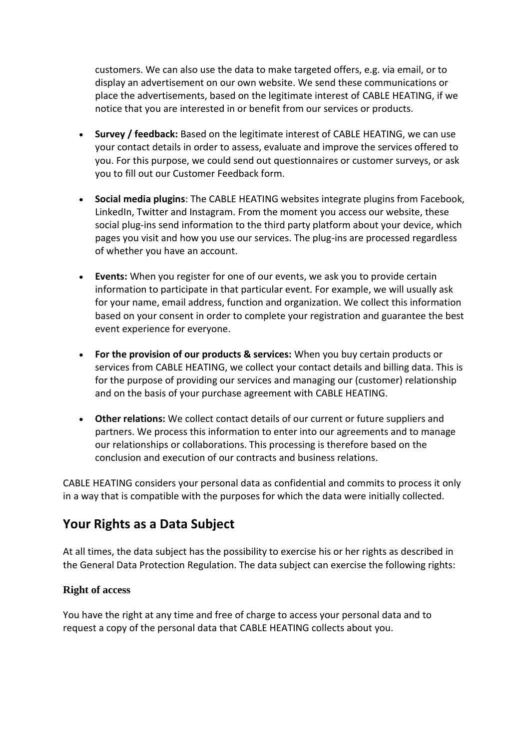customers. We can also use the data to make targeted offers, e.g. via email, or to display an advertisement on our own website. We send these communications or place the advertisements, based on the legitimate interest of CABLE HEATING, if we notice that you are interested in or benefit from our services or products.

- **Survey / feedback:** Based on the legitimate interest of CABLE HEATING, we can use your contact details in order to assess, evaluate and improve the services offered to you. For this purpose, we could send out questionnaires or customer surveys, or ask you to fill out our Customer Feedback form.
- **Social media plugins**: The CABLE HEATING websites integrate plugins from Facebook, LinkedIn, Twitter and Instagram. From the moment you access our website, these social plug-ins send information to the third party platform about your device, which pages you visit and how you use our services. The plug-ins are processed regardless of whether you have an account.
- **Events:** When you register for one of our events, we ask you to provide certain information to participate in that particular event. For example, we will usually ask for your name, email address, function and organization. We collect this information based on your consent in order to complete your registration and guarantee the best event experience for everyone.
- **For the provision of our products & services:** When you buy certain products or services from CABLE HEATING, we collect your contact details and billing data. This is for the purpose of providing our services and managing our (customer) relationship and on the basis of your purchase agreement with CABLE HEATING.
- **Other relations:** We collect contact details of our current or future suppliers and partners. We process this information to enter into our agreements and to manage our relationships or collaborations. This processing is therefore based on the conclusion and execution of our contracts and business relations.

CABLE HEATING considers your personal data as confidential and commits to process it only in a way that is compatible with the purposes for which the data were initially collected.

### **Your Rights as a Data Subject**

At all times, the data subject has the possibility to exercise his or her rights as described in the General Data Protection Regulation. The data subject can exercise the following rights:

#### **Right of access**

You have the right at any time and free of charge to access your personal data and to request a copy of the personal data that CABLE HEATING collects about you.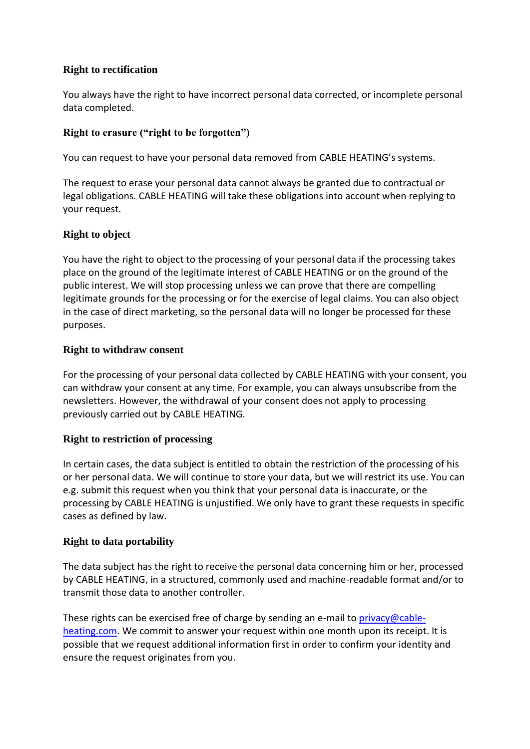#### **Right to rectification**

You always have the right to have incorrect personal data corrected, or incomplete personal data completed.

#### **Right to erasure ("right to be forgotten")**

You can request to have your personal data removed from CABLE HEATING's systems.

The request to erase your personal data cannot always be granted due to contractual or legal obligations. CABLE HEATING will take these obligations into account when replying to your request.

#### **Right to object**

You have the right to object to the processing of your personal data if the processing takes place on the ground of the legitimate interest of CABLE HEATING or on the ground of the public interest. We will stop processing unless we can prove that there are compelling legitimate grounds for the processing or for the exercise of legal claims. You can also object in the case of direct marketing, so the personal data will no longer be processed for these purposes.

#### **Right to withdraw consent**

For the processing of your personal data collected by CABLE HEATING with your consent, you can withdraw your consent at any time. For example, you can always unsubscribe from the newsletters. However, the withdrawal of your consent does not apply to processing previously carried out by CABLE HEATING.

#### **Right to restriction of processing**

In certain cases, the data subject is entitled to obtain the restriction of the processing of his or her personal data. We will continue to store your data, but we will restrict its use. You can e.g. submit this request when you think that your personal data is inaccurate, or the processing by CABLE HEATING is unjustified. We only have to grant these requests in specific cases as defined by law.

#### **Right to data portability**

The data subject has the right to receive the personal data concerning him or her, processed by CABLE HEATING, in a structured, commonly used and machine-readable format and/or to transmit those data to another controller.

These rights can be exercised free of charge by sending an e-mail to [privacy@cable](mailto:privacy@cable-heating)[heating.](mailto:privacy@cable-heating)com. We commit to answer your request within one month upon its receipt. It is possible that we request additional information first in order to confirm your identity and ensure the request originates from you.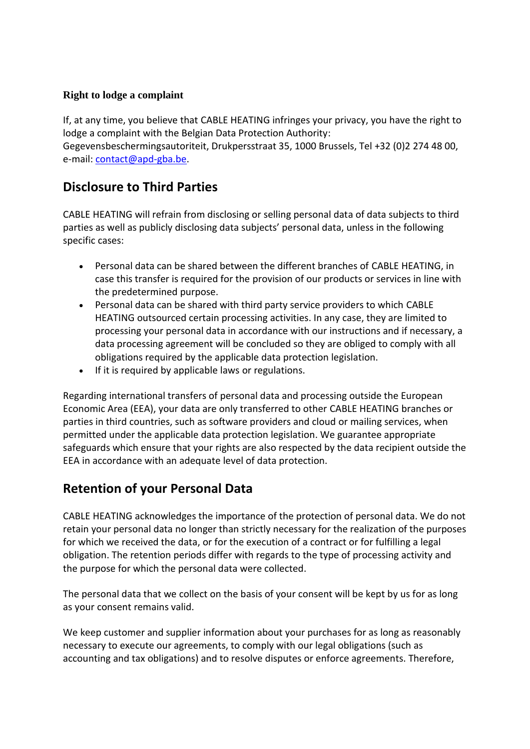#### **Right to lodge a complaint**

If, at any time, you believe that CABLE HEATING infringes your privacy, you have the right to lodge a complaint with the Belgian Data Protection Authority: Gegevensbeschermingsautoriteit, Drukpersstraat 35, 1000 Brussels, Tel +32 (0)2 274 48 00, e-mail: [contact@apd-gba.be.](mailto:contact@apd-gba.be)

### **Disclosure to Third Parties**

CABLE HEATING will refrain from disclosing or selling personal data of data subjects to third parties as well as publicly disclosing data subjects' personal data, unless in the following specific cases:

- Personal data can be shared between the different branches of CABLE HEATING, in case this transfer is required for the provision of our products or services in line with the predetermined purpose.
- Personal data can be shared with third party service providers to which CABLE HEATING outsourced certain processing activities. In any case, they are limited to processing your personal data in accordance with our instructions and if necessary, a data processing agreement will be concluded so they are obliged to comply with all obligations required by the applicable data protection legislation.
- If it is required by applicable laws or regulations.

Regarding international transfers of personal data and processing outside the European Economic Area (EEA), your data are only transferred to other CABLE HEATING branches or parties in third countries, such as software providers and cloud or mailing services, when permitted under the applicable data protection legislation. We guarantee appropriate safeguards which ensure that your rights are also respected by the data recipient outside the EEA in accordance with an adequate level of data protection.

### **Retention of your Personal Data**

CABLE HEATING acknowledges the importance of the protection of personal data. We do not retain your personal data no longer than strictly necessary for the realization of the purposes for which we received the data, or for the execution of a contract or for fulfilling a legal obligation. The retention periods differ with regards to the type of processing activity and the purpose for which the personal data were collected.

The personal data that we collect on the basis of your consent will be kept by us for as long as your consent remains valid.

We keep customer and supplier information about your purchases for as long as reasonably necessary to execute our agreements, to comply with our legal obligations (such as accounting and tax obligations) and to resolve disputes or enforce agreements. Therefore,